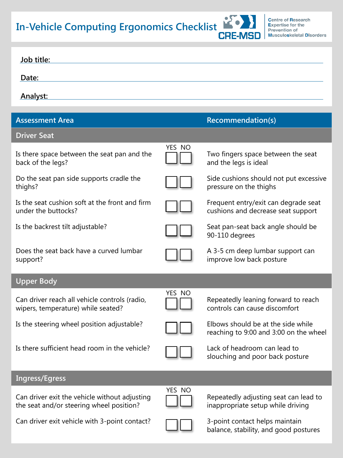**In-Vehicle Computing Ergonomics Checklist**



balance, stability, and good postures

| Job title:                                                                                |        |                                                                              |
|-------------------------------------------------------------------------------------------|--------|------------------------------------------------------------------------------|
| Date:                                                                                     |        |                                                                              |
| <b>Analyst:</b>                                                                           |        |                                                                              |
| <b>Assessment Area</b>                                                                    |        | <b>Recommendation(s)</b>                                                     |
| <b>Driver Seat</b>                                                                        |        |                                                                              |
| Is there space between the seat pan and the<br>back of the legs?                          | YES NO | Two fingers space between the seat<br>and the legs is ideal                  |
| Do the seat pan side supports cradle the<br>thighs?                                       |        | Side cushions should not put excessive<br>pressure on the thighs             |
| Is the seat cushion soft at the front and firm<br>under the buttocks?                     |        | Frequent entry/exit can degrade seat<br>cushions and decrease seat support   |
| Is the backrest tilt adjustable?                                                          |        | Seat pan-seat back angle should be<br>90-110 degrees                         |
| Does the seat back have a curved lumbar<br>support?                                       |        | A 3-5 cm deep lumbar support can<br>improve low back posture                 |
| <b>Upper Body</b>                                                                         |        |                                                                              |
| Can driver reach all vehicle controls (radio,<br>wipers, temperature) while seated?       | YES NO | Repeatedly leaning forward to reach<br>controls can cause discomfort         |
| Is the steering wheel position adjustable?                                                |        | Elbows should be at the side while<br>reaching to 9:00 and 3:00 on the wheel |
| Is there sufficient head room in the vehicle?                                             |        | Lack of headroom can lead to<br>slouching and poor back posture              |
| <b>Ingress/Egress</b>                                                                     |        |                                                                              |
| Can driver exit the vehicle without adjusting<br>the seat and/or steering wheel position? | YES NO | Repeatedly adjusting seat can lead to<br>inappropriate setup while driving   |
| Can driver exit vehicle with 3-point contact?                                             |        | 3-point contact helps maintain<br>balance, stability, and good postures      |